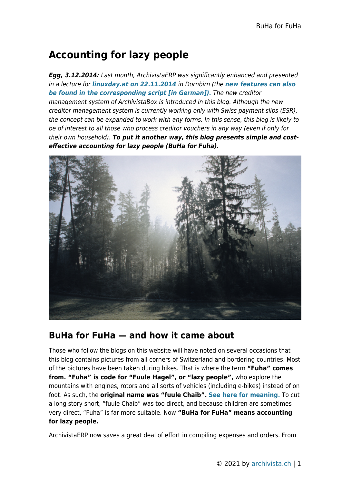## **Accounting for lazy people**

*Egg, 3.12.2014:* Last month, ArchivistaERP was significantly enhanced and presented in a lecture for *[linuxday.at on 22.11.2014](http://www.linuxday.at/)* in Dornbirn (the *[new features can also](http://www.archivista.ch/de/media/erp.pdf) [be found in the corresponding script \[in German\]\).](http://www.archivista.ch/de/media/erp.pdf)* The new creditor management system of ArchivistaBox is introduced in this blog. Although the new creditor management system is currently working only with Swiss payment slips (ESR), the concept can be expanded to work with any forms. In this sense, this blog is likely to be of interest to all those who process creditor vouchers in any way (even if only for their own household). *To put it another way, this blog presents simple and costeffective accounting for lazy people (BuHa for Fuha).*



## **BuHa for FuHa — and how it came about**

Those who follow the blogs on this website will have noted on several occasions that this blog contains pictures from all corners of Switzerland and bordering countries. Most of the pictures have been taken during hikes. That is where the term **"Fuha" comes from. "Fuha" is code for "Fuule Hagel", or "lazy people",** who explore the mountains with engines, rotors and all sorts of vehicles (including e-bikes) instead of on foot. As such, the **original name was "fuule Chaib". [See here for meaning.](http://www.badische-zeitung.de/st-blasien/ein-gaertner--34478461.html)** To cut a long story short, "fuule Chaib" was too direct, and because children are sometimes very direct, "Fuha" is far more suitable. Now **"BuHa for FuHa" means accounting for lazy people.**

ArchivistaERP now saves a great deal of effort in compiling expenses and orders. From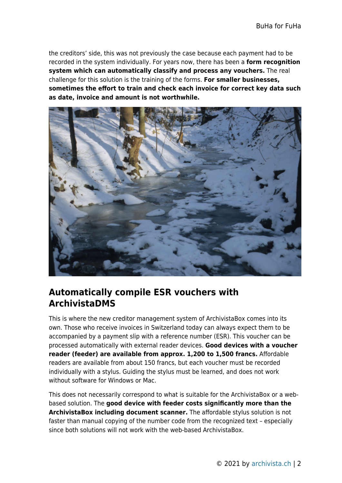the creditors' side, this was not previously the case because each payment had to be recorded in the system individually. For years now, there has been a **form recognition system which can automatically classify and process any vouchers.** The real challenge for this solution is the training of the forms. **For smaller businesses, sometimes the effort to train and check each invoice for correct key data such as date, invoice and amount is not worthwhile.**



## **Automatically compile ESR vouchers with ArchivistaDMS**

This is where the new creditor management system of ArchivistaBox comes into its own. Those who receive invoices in Switzerland today can always expect them to be accompanied by a payment slip with a reference number (ESR). This voucher can be processed automatically with external reader devices. **Good devices with a voucher reader (feeder) are available from approx. 1,200 to 1,500 francs.** Affordable readers are available from about 150 francs, but each voucher must be recorded individually with a stylus. Guiding the stylus must be learned, and does not work without software for Windows or Mac.

This does not necessarily correspond to what is suitable for the ArchivistaBox or a webbased solution. The **good device with feeder costs significantly more than the ArchivistaBox including document scanner.** The affordable stylus solution is not faster than manual copying of the number code from the recognized text – especially since both solutions will not work with the web-based ArchivistaBox.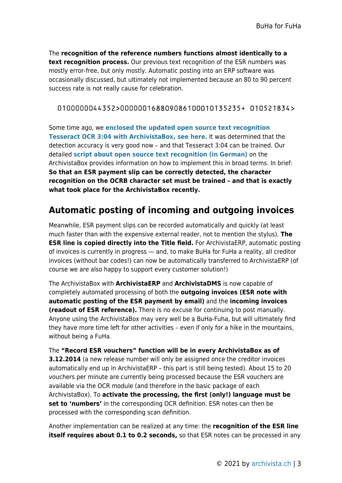The **recognition of the reference numbers functions almost identically to a text recognition process.** Our previous text recognition of the ESR numbers was mostly error-free, but only mostly. Automatic posting into an ERP software was occasionally discussed, but ultimately not implemented because an 80 to 90 percent success rate is not really cause for celebration.

#### 0100000044352>000000168809086100010135235+ 010521834>

Some time ago, we **[enclosed the updated open source text recognition](https://archivista.ch/cms/?page_id=591) [Tesseract OCR 3:04 with ArchivistaBox, see here.](https://archivista.ch/cms/?page_id=591)** It was determined that the detection accuracy is very good now – and that Tesseract 3:04 can be trained. Our detailed **[script about open source text recognition \(in German\)](http://www.archivista.ch/de/media/ocr3.pdf)** on the ArchivistaBox provides information on how to implement this in broad terms. In brief: **So that an ESR payment slip can be correctly detected, the character recognition on the OCRB character set must be trained – and that is exactly what took place for the ArchivistaBox recently.**

## **Automatic posting of incoming and outgoing invoices**

Meanwhile, ESR payment slips can be recorded automatically and quickly (at least much faster than with the expensive external reader, not to mention the stylus). **The ESR line is copied directly into the Title field.** For ArchivistaERP, automatic posting of invoices is currently in progress — and, to make BuHa for FuHa a reality, all creditor invoices (without bar codes!) can now be automatically transferred to ArchivistaERP (of course we are also happy to support every customer solution!)

The ArchivistaBox with **ArchivistaERP** and **ArchivistaDMS** is now capable of completely automated processing of both the **outgoing invoices (ESR note with automatic posting of the ESR payment by email)** and the **incoming invoices (readout of ESR reference).** There is no excuse for continuing to post manually. Anyone using the ArchivistaBox may very well be a BuHa-Fuha, but will ultimately find they have more time left for other activities – even if only for a hike in the mountains, without being a FuHa.

The **"Record ESR vouchers" function will be in every ArchivistaBox as of 3.12.2014** (a new release number will only be assigned once the creditor invoices automatically end up in ArchivistaERP – this part is still being tested). About 15 to 20 vouchers per minute are currently being processed because the ESR vouchers are available via the OCR module (and therefore in the basic package of each ArchivistaBox). To **activate the processing, the first (only!) language must be set to 'numbers'** in the corresponding OCR definition. ESR notes can then be processed with the corresponding scan definition.

Another implementation can be realized at any time: the **recognition of the ESR line itself requires about 0.1 to 0.2 seconds,** so that ESR notes can be processed in any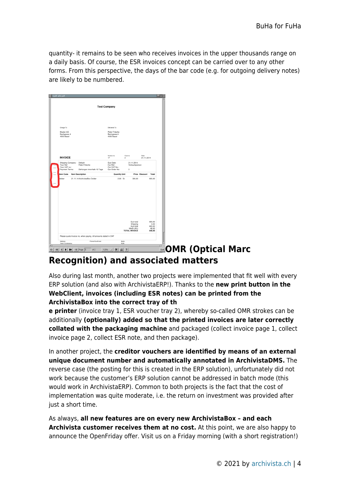quantity- it remains to be seen who receives invoices in the upper thousands range on a daily basis. Of course, the ESR invoices concept can be carried over to any other forms. From this perspective, the days of the bar code (e.g. for outgoing delivery notes) are likely to be numbered.

| <b>Test Company</b><br>Delivered To<br>Charge To<br>Peter Fritsche<br>Muster AG<br>Bachgasse 4<br>Bachgasse 4<br>4000 Basel<br>4000 Basel<br>Invoice no.<br>Cust no<br>Date<br><b>INVOICE</b><br>21.11.2014<br>17<br>$\overline{c}$<br>Shipping Company:<br>Default<br>Due Date:<br>21.11.2014<br>Your Ref:<br>Peter Fritsche<br>Our Ref.:<br>Verkaufsperson<br>Your VAT no.:<br>Our VAT No.:<br>Payment Terms:<br>Zahlungen innerhalb 10 Tage<br>Our Order No:<br>$_{3}$<br><b>Item Description</b><br><b>Quantity Unit</b><br>Total<br><b>Item Code</b><br><b>Price Discount</b><br>21.11.14 ArchivistaBox Dolder<br>2.00 St.<br>600,00<br>dolder<br>300,00 |  |  |  |  |  |
|---------------------------------------------------------------------------------------------------------------------------------------------------------------------------------------------------------------------------------------------------------------------------------------------------------------------------------------------------------------------------------------------------------------------------------------------------------------------------------------------------------------------------------------------------------------------------------------------------------------------------------------------------------------|--|--|--|--|--|
|                                                                                                                                                                                                                                                                                                                                                                                                                                                                                                                                                                                                                                                               |  |  |  |  |  |
|                                                                                                                                                                                                                                                                                                                                                                                                                                                                                                                                                                                                                                                               |  |  |  |  |  |
|                                                                                                                                                                                                                                                                                                                                                                                                                                                                                                                                                                                                                                                               |  |  |  |  |  |
|                                                                                                                                                                                                                                                                                                                                                                                                                                                                                                                                                                                                                                                               |  |  |  |  |  |
|                                                                                                                                                                                                                                                                                                                                                                                                                                                                                                                                                                                                                                                               |  |  |  |  |  |
|                                                                                                                                                                                                                                                                                                                                                                                                                                                                                                                                                                                                                                                               |  |  |  |  |  |
|                                                                                                                                                                                                                                                                                                                                                                                                                                                                                                                                                                                                                                                               |  |  |  |  |  |
|                                                                                                                                                                                                                                                                                                                                                                                                                                                                                                                                                                                                                                                               |  |  |  |  |  |
|                                                                                                                                                                                                                                                                                                                                                                                                                                                                                                                                                                                                                                                               |  |  |  |  |  |
|                                                                                                                                                                                                                                                                                                                                                                                                                                                                                                                                                                                                                                                               |  |  |  |  |  |
|                                                                                                                                                                                                                                                                                                                                                                                                                                                                                                                                                                                                                                                               |  |  |  |  |  |
|                                                                                                                                                                                                                                                                                                                                                                                                                                                                                                                                                                                                                                                               |  |  |  |  |  |
|                                                                                                                                                                                                                                                                                                                                                                                                                                                                                                                                                                                                                                                               |  |  |  |  |  |
|                                                                                                                                                                                                                                                                                                                                                                                                                                                                                                                                                                                                                                                               |  |  |  |  |  |
|                                                                                                                                                                                                                                                                                                                                                                                                                                                                                                                                                                                                                                                               |  |  |  |  |  |
|                                                                                                                                                                                                                                                                                                                                                                                                                                                                                                                                                                                                                                                               |  |  |  |  |  |
|                                                                                                                                                                                                                                                                                                                                                                                                                                                                                                                                                                                                                                                               |  |  |  |  |  |
|                                                                                                                                                                                                                                                                                                                                                                                                                                                                                                                                                                                                                                                               |  |  |  |  |  |
|                                                                                                                                                                                                                                                                                                                                                                                                                                                                                                                                                                                                                                                               |  |  |  |  |  |
|                                                                                                                                                                                                                                                                                                                                                                                                                                                                                                                                                                                                                                                               |  |  |  |  |  |
|                                                                                                                                                                                                                                                                                                                                                                                                                                                                                                                                                                                                                                                               |  |  |  |  |  |
| Sub-total<br>600,00                                                                                                                                                                                                                                                                                                                                                                                                                                                                                                                                                                                                                                           |  |  |  |  |  |
| Shipping<br>0,00<br>Sub-total<br>600.00                                                                                                                                                                                                                                                                                                                                                                                                                                                                                                                                                                                                                       |  |  |  |  |  |
| MwSt (8%)<br>48,00<br><b>TOTAL INVOICE</b><br>648,00                                                                                                                                                                                                                                                                                                                                                                                                                                                                                                                                                                                                          |  |  |  |  |  |
| Please quote Invoice no. when paying. All amounts stated in CHF                                                                                                                                                                                                                                                                                                                                                                                                                                                                                                                                                                                               |  |  |  |  |  |

# **Recognition) and associated matters**

Also during last month, another two projects were implemented that fit well with every ERP solution (and also with ArchivistaERP!). Thanks to the **new print button in the WebClient, invoices (including ESR notes) can be printed from the ArchivistaBox into the correct tray of th**

**e printer** (invoice tray 1, ESR voucher tray 2), whereby so-called OMR strokes can be additionally **(optionally) added so that the printed invoices are later correctly collated with the packaging machine** and packaged (collect invoice page 1, collect invoice page 2, collect ESR note, and then package).

In another project, the **creditor vouchers are identified by means of an external unique document number and automatically annotated in ArchivistaDMS.** The reverse case (the posting for this is created in the ERP solution), unfortunately did not work because the customer's ERP solution cannot be addressed in batch mode (this would work in ArchivistaERP). Common to both projects is the fact that the cost of implementation was quite moderate, i.e. the return on investment was provided after just a short time.

As always, **all new features are on every new ArchivistaBox – and each Archivista customer receives them at no cost.** At this point, we are also happy to announce the OpenFriday offer. Visit us on a Friday morning (with a short registration!)